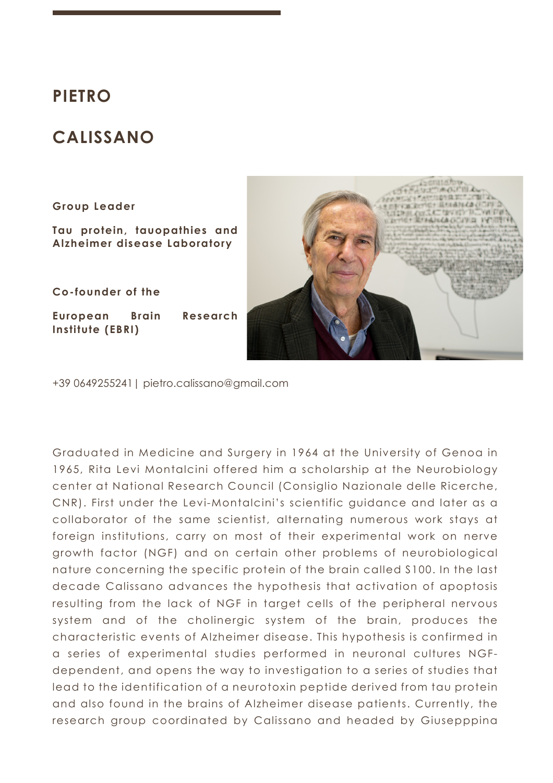# **PIETRO**

# **CALISSANO**

#### **Group Leader**

**Tau protein, tauopathies and Alzheimer disease Laboratory**

**Co-founder of the** 

**European Brain Research Institute (EBRI)**



+39 0649255241| pietro.calissano@gmail.com

Graduated in Medicine and Surgery in 1964 at the University of Genoa in 1965, Rita Levi Montalcini offered him a scholarship at the Neurobiology center at National Research Council (Consiglio Nazionale delle Ricerche, CNR). First under the Levi-Montalcini's scientific guidance and later as a collaborator of the same scientist, alternating numerous work stays at foreign institutions, carry on most of their experimental work on nerve growth factor (NGF) and on certain other problems of neurobiological nature concerning the specific protein of the brain called S100. In the last decade Calissano advances the hypothesis that activation of apoptosis resulting from the lack of NGF in target cells of the peripheral nervous system and of the cholinergic system of the brain, produces the characteristic events of Alzheimer disease. This hypothesis is confirmed in a series of experimental studies performed in neuronal cultures NGFdependent, and opens the way to investigation to a series of studies that lead to the identification of a neurotoxin peptide derived from tau protein and also found in the brains of Alzheimer disease patients. Currently, the research group coordinated by Calissano and headed by Giusepppina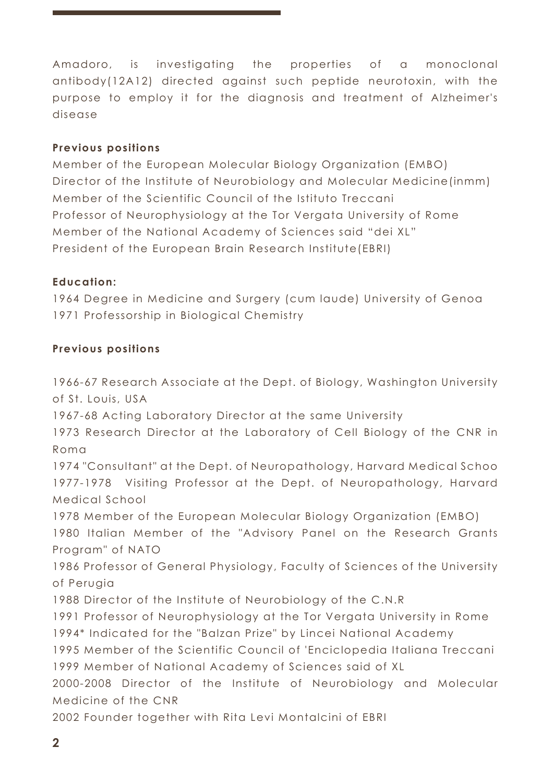Amadoro, is investigating the properties of a monoclonal antibody(12A12) directed against such peptide neurotoxin, with the purpose to employ it for the diagnosis and treatment of Alzheimer's disease

## **Previous positions**

Member of the European Molecular Biology Organization (EMBO) Director of the Institute of Neurobiology and Molecular Medicine(inmm) Member of the Scientific Council of the Istituto Treccani Professor of Neurophysiology at the Tor Vergata University of Rome Member of the National Academy of Sciences said "dei XL" President of the European Brain Research Institute(EBRI)

## **Education:**

1964 Degree in Medicine and Surgery (cum laude) University of Genoa 1971 Professorship in Biological Chemistry

## **Previous positions**

1966-67 Research Associate at the Dept. of Biology, Washington University of St. Louis, USA

1967-68 Acting Laboratory Director at the same University

1973 Research Director at the Laboratory of Cell Biology of the CNR in Roma

1974 "Consultant" at the Dept. of Neuropathology, Harvard Medical Schoo 1977-1978 Visiting Professor at the Dept. of Neuropathology, Harvard Medical School

1978 Member of the European Molecular Biology Organization (EMBO)

1980 Italian Member of the "Advisory Panel on the Research Grants Program" of NATO

1986 Professor of General Physiology, Faculty of Sciences of the University of Perugia

1988 Director of the Institute of Neurobiology of the C.N.R

1991 Professor of Neurophysiology at the Tor Vergata University in Rome

1994\* Indicated for the "Balzan Prize" by Lincei National Academy

1995 Member of the Scientific Council of 'Enciclopedia Italiana Treccani 1999 Member of National Academy of Sciences said of XL

2000-2008 Director of the Institute of Neurobiology and Molecular Medicine of the CNR

2002 Founder together with Rita Levi Montalcini of EBRI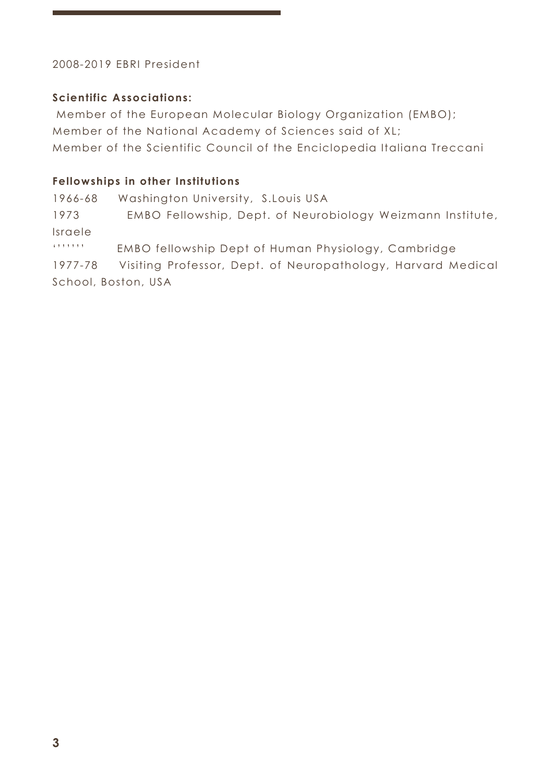# 2008-2019 EBRI President

# **Scientific Associations:**

Member of the European Molecular Biology Organization (EMBO); Member of the National Academy of Sciences said of XL; Member of the Scientific Council of the Enciclopedia Italiana Treccani

# **Fellowships in other Institutions**

1966-68 Washington University, S.Louis USA

1973 EMBO Fellowship, Dept. of Neurobiology Weizmann Institute, Israele

''''''' EMBO fellowship Dept of Human Physiology, Cambridge

1977-78 Visiting Professor, Dept. of Neuropathology, Harvard Medical School, Boston, USA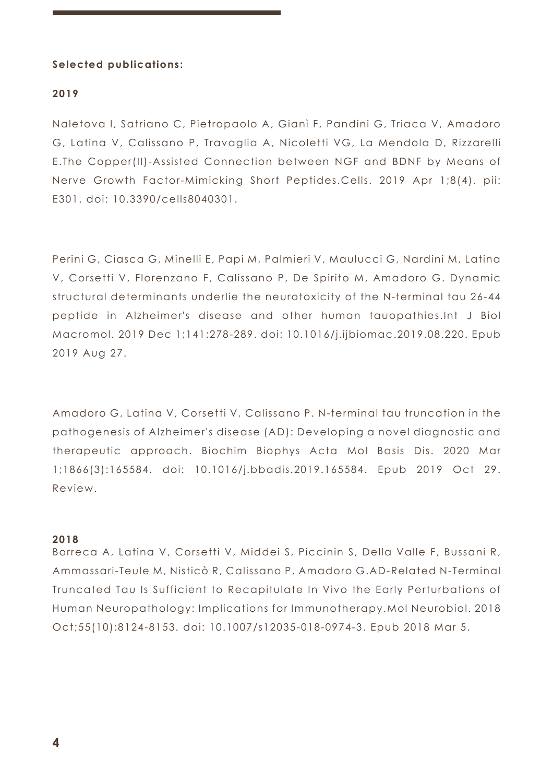## **Selected publications:**

### **2019**

Naletova I, Satriano C, Pietropaolo A, Gianì F, Pandini G, Triaca V, Amadoro G, Latina V, Calissano P, Travaglia A, Nicoletti VG, La Mendola D, Rizzarelli E.The Copper(II)-Assisted Connection between NGF and BDNF by Means of Nerve Growth Factor-Mimicking Short Peptides.Cells. 2019 Apr 1;8(4). pii: E301. doi: 10.3390/cells8040301.

Perini G, Ciasca G, Minelli E, Papi M, Palmieri V, Maulucci G, Nardini M, Latina V, Corsetti V, Florenzano F, Calissano P, De Spirito M, Amadoro G. Dynamic structural determinants underlie the neurotoxicity of the N-terminal tau 26-44 peptide in Alzheimer's disease and other human tauopathies.Int J Biol Macromol. 2019 Dec 1;141:278-289. doi: 10.1016/j.ijbiomac.2019.08.220. Epub 2019 Aug 27.

Amadoro G, Latina V, Corsetti V, Calissano P. N-terminal tau truncation in the pathogenesis of Alzheimer's disease (AD): Developing a novel diagnostic and therapeutic approach. Biochim Biophys Acta Mol Basis Dis. 2020 Mar 1;1866(3):165584. doi: 10.1016/j.bbadis.2019.165584. Epub 2019 Oct 29. Review.

#### **2018**

Borreca A, Latina V, Corsetti V, Middei S, Piccinin S, Della Valle F, Bussani R, Ammassari-Teule M, Nisticò R, Calissano P, Amadoro G.AD-Related N-Terminal Truncated Tau Is Sufficient to Recapitulate In Vivo the Early Perturbations of Human Neuropathology: Implications for Immunotherapy.Mol Neurobiol. 2018 Oct;55(10):8124-8153. doi: 10.1007/s12035-018-0974-3. Epub 2018 Mar 5.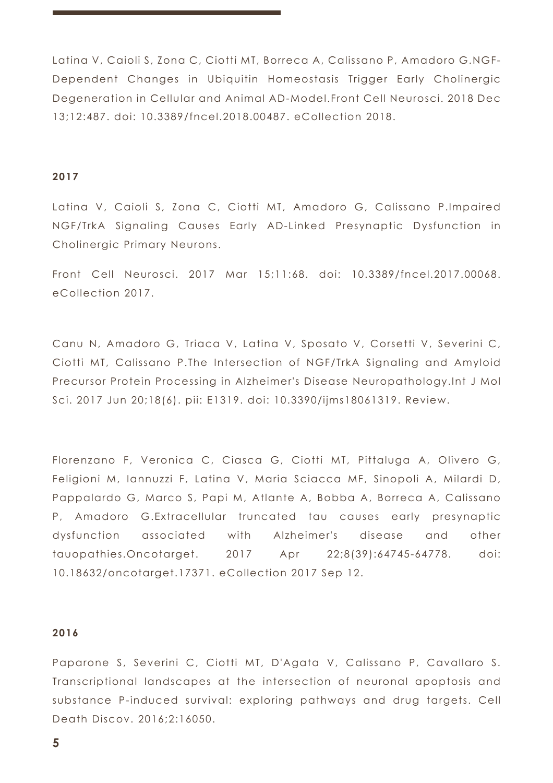Latina V, Caioli S, Zona C, Ciotti MT, Borreca A, Calissano P, Amadoro G.NGF-Dependent Changes in Ubiquitin Homeostasis Trigger Early Cholinergic Degeneration in Cellular and Animal AD-Model.Front Cell Neurosci. 2018 Dec 13;12:487. doi: 10.3389/fncel.2018.00487. eCollection 2018.

#### **2017**

Latina V, Caioli S, Zona C, Ciotti MT, Amadoro G, Calissano P.Impaired NGF/TrkA Signaling Causes Early AD-Linked Presynaptic Dysfunction in Cholinergic Primary Neurons.

Front Cell Neurosci. 2017 Mar 15;11:68. doi: 10.3389/fncel.2017.00068. eCollection 2017.

Canu N, Amadoro G, Triaca V, Latina V, Sposato V, Corsetti V, Severini C, Ciotti MT, Calissano P.The Intersection of NGF/TrkA Signaling and Amyloid Precursor Protein Processing in Alzheimer's Disease Neuropathology.Int J Mol Sci. 2017 Jun 20;18(6). pii: E1319. doi: 10.3390/ijms18061319. Review.

Florenzano F, Veronica C, Ciasca G, Ciotti MT, Pittaluga A, Olivero G, Feligioni M, Iannuzzi F, Latina V, Maria Sciacca MF, Sinopoli A, Milardi D, Pappalardo G, Marco S, Papi M, Atlante A, Bobba A, Borreca A, Calissano P, Amadoro G.Extracellular truncated tau causes early presynaptic dysfunction associated with Alzheimer's disease and other tauopathies.Oncotarget. 2017 Apr 22;8(39):64745-64778. doi: 10.18632/oncotarget.17371. eCollection 2017 Sep 12.

#### **2016**

Paparone S, Severini C, Ciotti MT, D'Agata V, Calissano P, Cavallaro S. Transcriptional landscapes at the intersection of neuronal apoptosis and substance P-induced survival: exploring pathways and drug targets. Cell Death Discov. 2016;2:16050.

**5**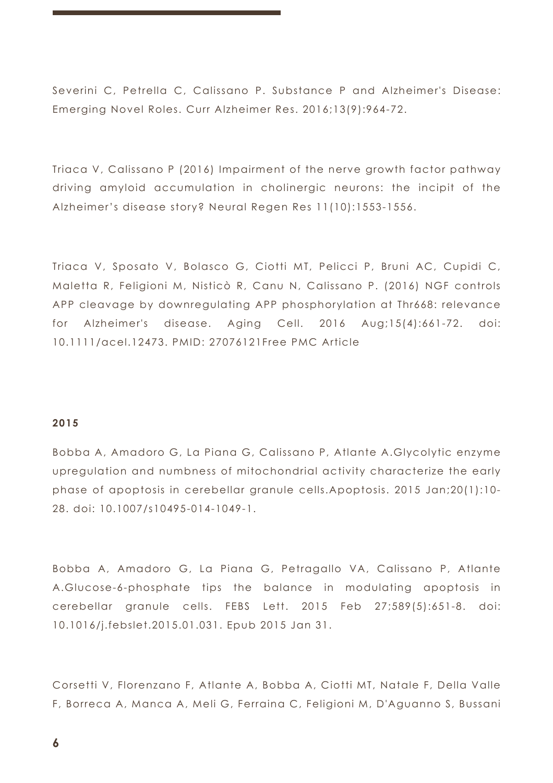Severini C, Petrella C, Calissano P. Substance P and Alzheimer's Disease: Emerging Novel Roles. Curr Alzheimer Res. 2016;13(9):964-72.

Triaca V, Calissano P (2016) Impairment of the nerve growth factor pathway driving amyloid accumulation in cholinergic neurons: the incipit of the Alzheimer's disease story? Neural Regen Res 11(10):1553-1556.

Triaca V, Sposato V, Bolasco G, Ciotti MT, Pelicci P, Bruni AC, Cupidi C, Maletta R, Feligioni M, Nisticò R, Canu N, Calissano P. (2016) NGF controls APP cleavage by downregulating APP phosphorylation at Thr668: relevance for Alzheimer's disease. Aging Cell.  $2016$  Aug;15(4):661-72. doi: 10.1111/acel.12473. PMID: 27076121Free PMC Article

## **2015**

Bobba A, Amadoro G, La Piana G, Calissano P, Atlante A.Glycolytic enzyme upregulation and numbness of mitochondrial activity characterize the early phase of apoptosis in cerebellar granule cells.Apoptosis. 2015 Jan;20(1):10- 28. doi: 10.1007/s10495-014-1049-1.

Bobba A, Amadoro G, La Piana G, Petragallo VA, Calissano P, Atlante A.Glucose-6-phosphate tips the balance in modulating apoptosis in cerebellar granule cells. FEBS Lett. 2015 Feb 27;589(5):651-8. doi: 10.1016/j.febslet.2015.01.031. Epub 2015 Jan 31.

Corsetti V, Florenzano F, Atlante A, Bobba A, Ciotti MT, Natale F, Della Valle F, Borreca A, Manca A, Meli G, Ferraina C, Feligioni M, D'Aguanno S, Bussani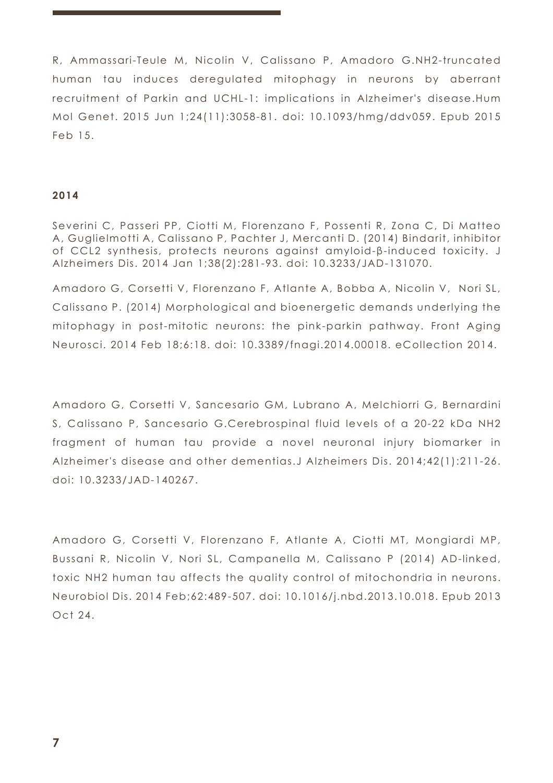R, Ammassari-Teule M, Nicolin V, Calissano P, Amadoro G.NH2-truncated human tau induces deregulated mitophagy in neurons by aberrant recruitment of Parkin and UCHL-1: implications in Alzheimer's disease.Hum Mol Genet. 2015 Jun 1;24(11):3058-81. doi: 10.1093/hmg/ddv059. Epub 2015 Feb 15.

## **2014**

Severini C, Passeri PP, Ciotti M, Florenzano F, Possenti R, Zona C, Di Matteo A, Guglielmotti A, Calissano P, Pachter J, Mercanti D. (2014) Bindarit, inhibitor of CCL2 synthesis, protects neurons against amyloid-β-induced toxicity. J Alzheimers Dis. 2014 Jan 1;38(2):281-93. doi: 10.3233/JAD-131070.

Amadoro G, Corsetti V, Florenzano F, Atlante A, Bobba A, Nicolin V, Nori SL, Calissano P. (2014) Morphological and bioenergetic demands underlying the mitophagy in post-mitotic neurons: the pink-parkin pathway. Front Aging Neurosci. 2014 Feb 18;6:18. doi: 10.3389/fnagi.2014.00018. eCollection 2014.

Amadoro G, Corsetti V, Sancesario GM, Lubrano A, Melchiorri G, Bernardini S, Calissano P, Sancesario G.Cerebrospinal fluid levels of a 20-22 kDa NH2 fragment of human tau provide a novel neuronal injury biomarker in Alzheimer's disease and other dementias.J Alzheimers Dis. 2014;42(1):211-26. doi: 10.3233/JAD-140267.

Amadoro G, Corsetti V, Florenzano F, Atlante A, Ciotti MT, Mongiardi MP, Bussani R, Nicolin V, Nori SL, Campanella M, Calissano P (2014) AD-linked, toxic NH2 human tau affects the quality control of mitochondria in neurons. Neurobiol Dis. 2014 Feb;62:489-507. doi: 10.1016/j.nbd.2013.10.018. Epub 2013 Oct 24.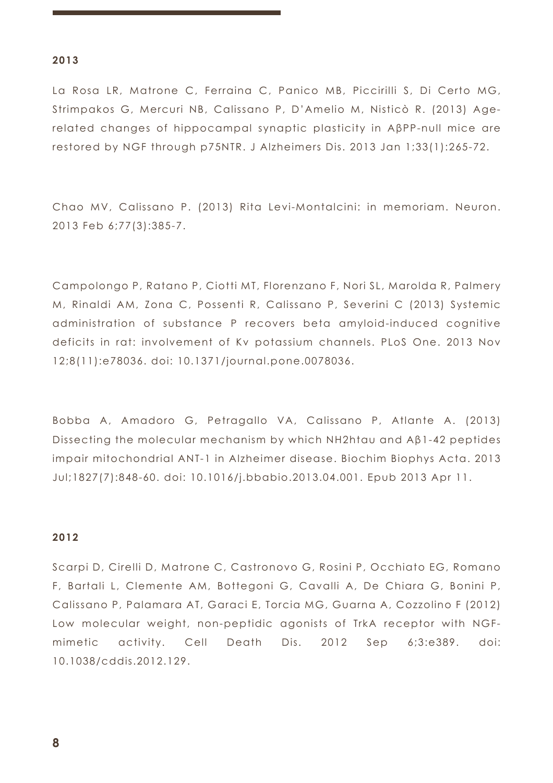#### **2013**

La Rosa LR, Matrone C, Ferraina C, Panico MB, Piccirilli S, Di Certo MG, Strimpakos G, Mercuri NB, Calissano P, D'Amelio M, Nisticò R. (2013) Agerelated changes of hippocampal synaptic plasticity in AβPP-null mice are restored by NGF through p75NTR. J Alzheimers Dis. 2013 Jan 1;33(1):265-72.

Chao MV, Calissano P. (2013) Rita Levi-Montalcini: in memoriam. Neuron. 2013 Feb 6;77(3):385-7.

Campolongo P, Ratano P, Ciotti MT, Florenzano F, Nori SL, Marolda R, Palmery M, Rinaldi AM, Zona C, Possenti R, Calissano P, Severini C (2013) Systemic administration of substance P recovers beta amyloid-induced cognitive deficits in rat: involvement of Kv potassium channels. PLoS One. 2013 Nov 12;8(11):e78036. doi: 10.1371/journal.pone.0078036.

Bobba A, Amadoro G, Petragallo VA, Calissano P, Atlante A. (2013) Dissecting the molecular mechanism by which NH2htau and Aβ1-42 peptides impair mitochondrial ANT-1 in Alzheimer disease. Biochim Biophys Acta. 2013 Jul;1827(7):848-60. doi: 10.1016/j.bbabio.2013.04.001. Epub 2013 Apr 11.

## **2012**

Scarpi D, Cirelli D, Matrone C, Castronovo G, Rosini P, Occhiato EG, Romano F, Bartali L, Clemente AM, Bottegoni G, Cavalli A, De Chiara G, Bonini P, Calissano P, Palamara AT, Garaci E, Torcia MG, Guarna A, Cozzolino F (2012) Low molecular weight, non-peptidic agonists of TrkA receptor with NGFmimetic activity. Cell Death Dis. 2012 Sep 6;3:e389. doi: 10.1038/cddis.2012.129.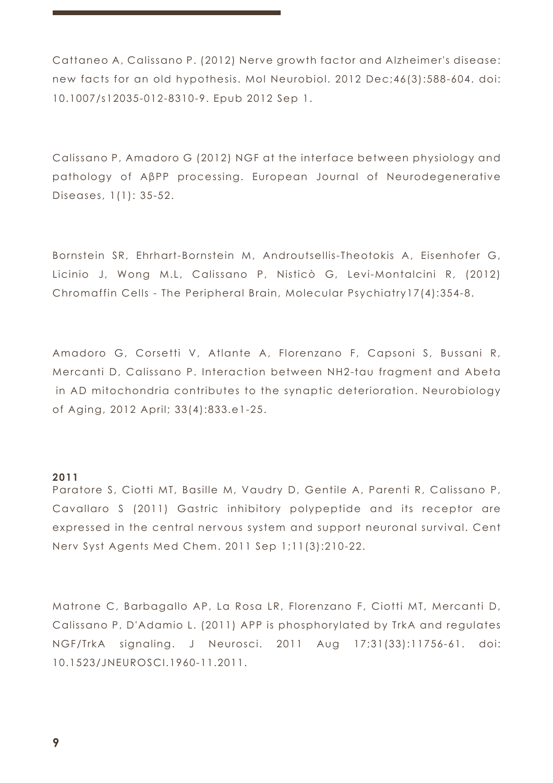Cattaneo A, Calissano P. (2012) Nerve growth factor and Alzheimer's disease: new facts for an old hypothesis. Mol Neurobiol. 2012 Dec;46(3):588-604. doi: 10.1007/s12035-012-8310-9. Epub 2012 Sep 1.

Calissano P, Amadoro G (2012) NGF at the interface between physiology and pathology of AβPP processing. European Journal of Neurodegenerative Diseases, 1(1): 35-52.

Bornstein SR, Ehrhart-Bornstein M, Androutsellis-Theotokis A, Eisenhofer G, Licinio J, Wong M.L, Calissano P, Nisticò G, Levi-Montalcini R, (2012) Chromaffin Cells - The Peripheral Brain, Molecular Psychiatry17(4):354-8.

Amadoro G, Corsetti V, Atlante A, Florenzano F, Capsoni S, Bussani R, Mercanti D, Calissano P. Interaction between NH2-tau fragment and Abeta in AD mitochondria contributes to the synaptic deterioration. Neurobiology of Aging, 2012 April; 33(4):833.e1-25.

#### **2011**

Paratore S, Ciotti MT, Basille M, Vaudry D, Gentile A, Parenti R, Calissano P, Cavallaro S (2011) Gastric inhibitory polypeptide and its receptor are expressed in the central nervous system and support neuronal survival. Cent Nerv Syst Agents Med Chem. 2011 Sep 1;11(3):210-22.

Matrone C, Barbagallo AP, La Rosa LR, Florenzano F, Ciotti MT, Mercanti D, Calissano P, D'Adamio L. (2011) APP is phosphorylated by TrkA and regulates NGF/TrkA signaling. J Neurosci. 2011 Aug 17;31(33):11756-61. doi: 10.1523/JNEUROSCI.1960-11.2011.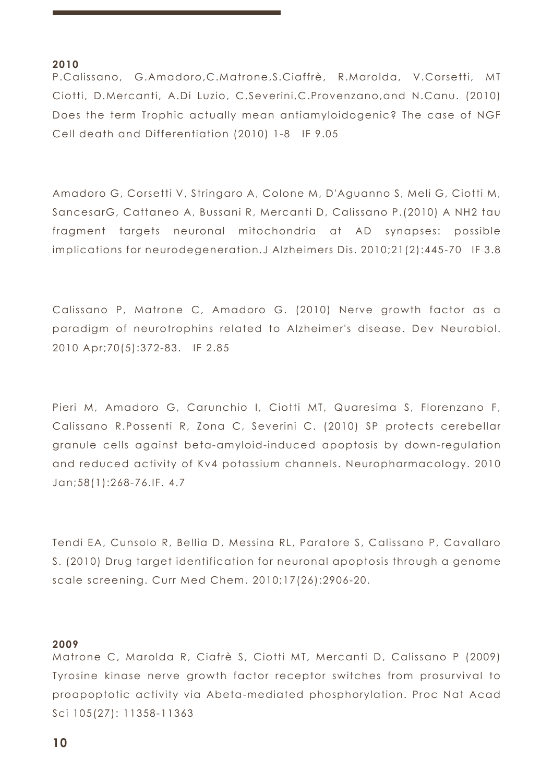#### **2010**

P.Calissano, G.Amadoro,C.Matrone,S.Ciaffrè, R.Marolda, V.Corsetti, MT Ciotti, D.Mercanti, A.Di Luzio, C.Severini,C.Provenzano,and N.Canu. (2010) Does the term Trophic actually mean antiamyloidogenic? The case of NGF Cell death and Differentiation (2010) 1-8 IF 9.05

Amadoro G, Corsetti V, Stringaro A, Colone M, D'Aguanno S, Meli G, Ciotti M, SancesarG, Cattaneo A, Bussani R, Mercanti D, Calissano P.(2010) A NH2 tau fragment targets neuronal mitochondria at AD synapses: possible implications for neurodegeneration.J Alzheimers Dis. 2010;21(2):445-70 IF 3.8

Calissano P, Matrone C, Amadoro G. (2010) Nerve growth factor as a paradigm of neurotrophins related to Alzheimer's disease. Dev Neurobiol. 2010 Apr;70(5):372-83. IF 2.85

Pieri M, Amadoro G, Carunchio I, Ciotti MT, Quaresima S, Florenzano F, Calissano R.Possenti R, Zona C, Severini C. (2010) SP protects cerebellar granule cells against beta-amyloid-induced apoptosis by down-regulation and reduced activity of Kv4 potassium channels. Neuropharmacology. 2010 Jan;58(1):268-76.IF. 4.7

Tendi EA, Cunsolo R, Bellia D, Messina RL, Paratore S, Calissano P, Cavallaro S. (2010) Drug target identification for neuronal apoptosis through a genome scale screening. Curr Med Chem. 2010;17(26):2906-20.

#### **2009**

Matrone C, Marolda R, Ciafrè S, Ciotti MT, Mercanti D, Calissano P (2009) Tyrosine kinase nerve growth factor receptor switches from prosurvival to proapoptotic activity via Abeta-mediated phosphorylation. Proc Nat Acad Sci 105(27): 11358-11363